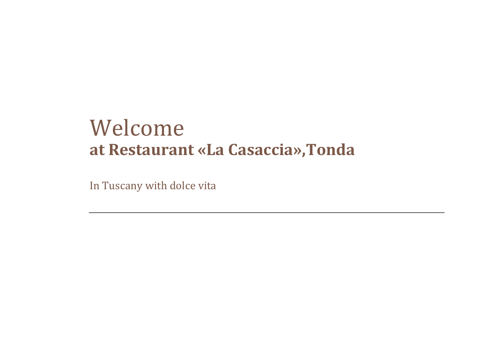# Welcome **at Restaurant «La Casaccia»,Tonda**

In Tuscany with dolce vita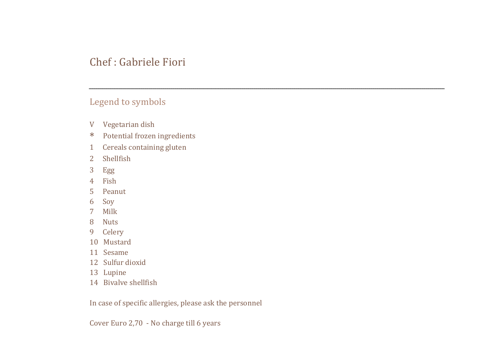#### Chef : Gabriele Fiori

#### Legend to symbols

- V Vegetarian dish
- \* Potential frozen ingredients
- 1 Cereals containing gluten
- 2 Shellfish
- 3 Egg
- 4 Fish
- 5 Peanut
- 6 Soy
- 7 Milk
- 8 Nuts
- 9 Celery
- 10 Mustard
- 11 Sesame
- 12 Sulfur dioxid
- 13 Lupine
- 14 Bivalve shellfish

In case of specific allergies, please ask the personnel

Cover Euro 2,70 - No charge till 6 years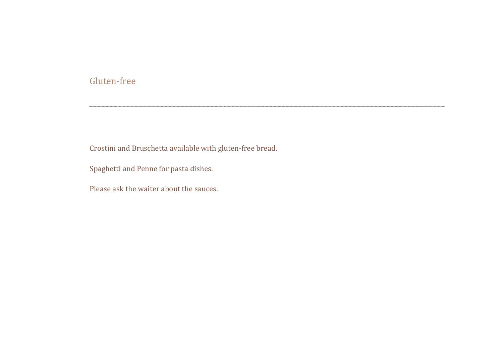#### Gluten-free

Crostini and Bruschetta available with gluten-free bread.

Spaghetti and Penne for pasta dishes.

Please ask the waiter about the sauces.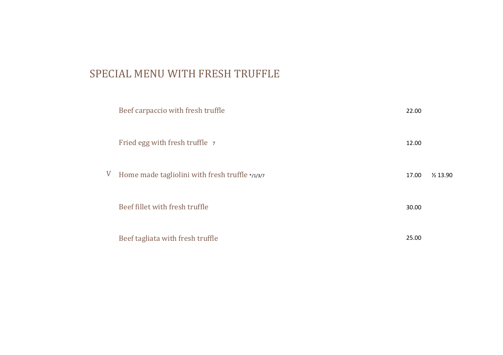## SPECIAL MENU WITH FRESH TRUFFLE

|   | Beef carpaccio with fresh truffle               | 22.00 |                     |
|---|-------------------------------------------------|-------|---------------------|
|   | Fried egg with fresh truffle 7                  | 12.00 |                     |
| V | Home made tagliolini with fresh truffle */1/3/7 | 17.00 | $\frac{1}{2}$ 13.90 |
|   | Beef fillet with fresh truffle                  | 30.00 |                     |
|   | Beef tagliata with fresh truffle                | 25.00 |                     |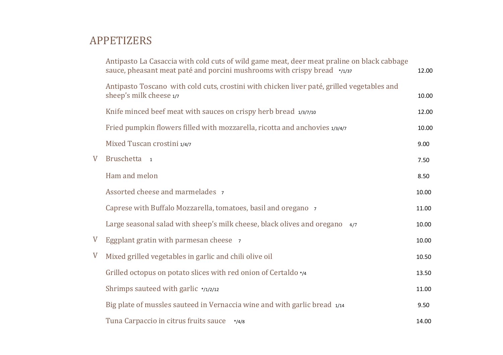# APPETIZERS

|             | Antipasto La Casaccia with cold cuts of wild game meat, deer meat praline on black cabbage<br>sauce, pheasant meat paté and porcini mushrooms with crispy bread */1/37 | 12.00 |
|-------------|------------------------------------------------------------------------------------------------------------------------------------------------------------------------|-------|
|             | Antipasto Toscano with cold cuts, crostini with chicken liver paté, grilled vegetables and<br>sheep's milk cheese 1/7                                                  | 10.00 |
|             | Knife minced beef meat with sauces on crispy herb bread 1/3/7/10                                                                                                       | 12.00 |
|             | Fried pumpkin flowers filled with mozzarella, ricotta and anchovies 1/3/4/7                                                                                            | 10.00 |
|             | Mixed Tuscan crostini 1/4/7                                                                                                                                            | 9.00  |
| V           | Bruschetta 1                                                                                                                                                           | 7.50  |
|             | Ham and melon                                                                                                                                                          | 8.50  |
|             | Assorted cheese and marmelades 7                                                                                                                                       | 10.00 |
|             | Caprese with Buffalo Mozzarella, tomatoes, basil and oregano 7                                                                                                         | 11.00 |
|             | Large seasonal salad with sheep's milk cheese, black olives and oregano<br>4/7                                                                                         | 10.00 |
| $\mathbf V$ | Eggplant gratin with parmesan cheese 7                                                                                                                                 | 10.00 |
| V           | Mixed grilled vegetables in garlic and chili olive oil                                                                                                                 | 10.50 |
|             | Grilled octopus on potato slices with red onion of Certaldo */4                                                                                                        | 13.50 |
|             | Shrimps sauteed with garlic */1/2/12                                                                                                                                   | 11.00 |
|             | Big plate of mussles sauteed in Vernaccia wine and with garlic bread 1/14                                                                                              | 9.50  |
|             | Tuna Carpaccio in citrus fruits sauce<br>$*/4/8$                                                                                                                       | 14.00 |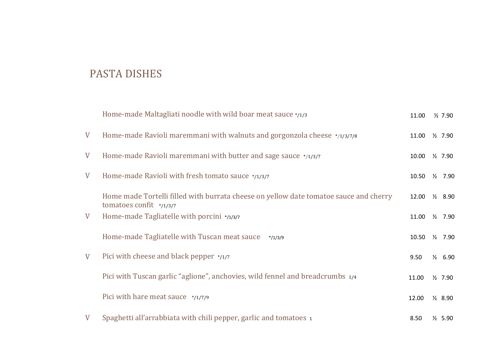# PASTA DISHES

|             | Home-made Maltagliati noodle with wild boar meat sauce */1/3                                                        | 11.00 | $\frac{1}{2}$ 7.90 |
|-------------|---------------------------------------------------------------------------------------------------------------------|-------|--------------------|
| $\mathbf V$ | Home-made Ravioli maremmani with walnuts and gorgonzola cheese */1/3/7/8                                            | 11.00 | $\frac{1}{2}$ 7.90 |
| V           | Home-made Ravioli maremmani with butter and sage sauce $*_{/1/3/7}$                                                 | 10.00 | $\frac{1}{2}$ 7.90 |
| V           | Home-made Ravioli with fresh tomato sauce */1/3/7                                                                   | 10.50 | $\frac{1}{2}$ 7.90 |
|             | Home made Tortelli filled with burrata cheese on yellow date tomatoe sauce and cherry<br>tomatoes confit $*$ /1/3/7 | 12.00 | $\frac{1}{2}$ 8.90 |
| V           | Home-made Tagliatelle with porcini */1/3/7                                                                          | 11.00 | $\frac{1}{2}$ 7.90 |
|             | Home-made Tagliatelle with Tuscan meat sauce<br>$*$ /1/3/9                                                          | 10.50 | $\frac{1}{2}$ 7.90 |
| V           | Pici with cheese and black pepper $\frac{*}{17}$                                                                    | 9.50  | $\frac{1}{2}$ 6.90 |
|             | Pici with Tuscan garlic "aglione", anchovies, wild fennel and breadcrumbs 1/4                                       | 11.00 | $\frac{1}{2}$ 7.90 |
|             | Pici with hare meat sauce */1/7/9                                                                                   | 12.00 | $\frac{1}{2}$ 8.90 |
| V           | Spaghetti all'arrabbiata with chili pepper, garlic and tomatoes 1                                                   | 8.50  | $\frac{1}{2}$ 5.90 |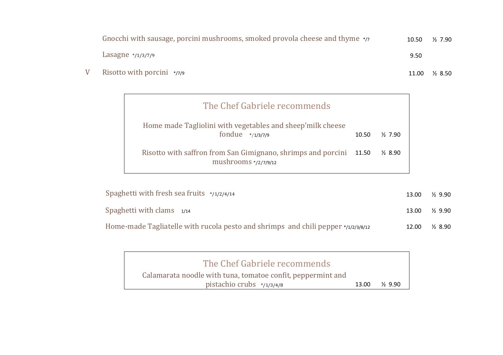| Gnocchi with sausage, porcini mushrooms, smoked provola cheese and thyme $\star$ /7 | 10.50 | $\frac{1}{2}$ 7.90 |
|-------------------------------------------------------------------------------------|-------|--------------------|
| Lasagne $*$ /1/3/7/9                                                                | 9.50  |                    |
| Risotto with porcini $*_{77/9}$                                                     | 11.00 | <sup>2</sup> 8.50  |

V

| The Chef Gabriele recommends                                                                  |       |                    |
|-----------------------------------------------------------------------------------------------|-------|--------------------|
| Home made Tagliolini with vegetables and sheep'milk cheese<br>fondue $*_{/1/3/7/9}$           | 10.50 | $\frac{1}{2}$ 7.90 |
| Risotto with saffron from San Gimignano, shrimps and porcini 11.50<br>mushrooms $*$ /2/7/9/12 |       | $\frac{1}{2}$ 8.90 |

| Spaghetti with fresh sea fruits $\frac{1}{2}$ /1/2/4/14                                      | 13.00 | $\frac{1}{2}$ 9.90 |
|----------------------------------------------------------------------------------------------|-------|--------------------|
| Spaghetti with clams $1/14$                                                                  | 13.00 | $\frac{1}{2}$ 9.90 |
| Home-made Tagliatelle with rucola pesto and shrimps and chili pepper $\frac{1}{2}$ /2/3/8/12 | 12.00 | $\frac{1}{2}$ 8.90 |

| The Chef Gabriele recommends                                                                |       |                      |
|---------------------------------------------------------------------------------------------|-------|----------------------|
| Calamarata noodle with tuna, tomatoe confit, peppermint and<br>pistachio crubs $*$ /1/3/4/8 | 13.00 | <sup>3</sup> 7, 9,90 |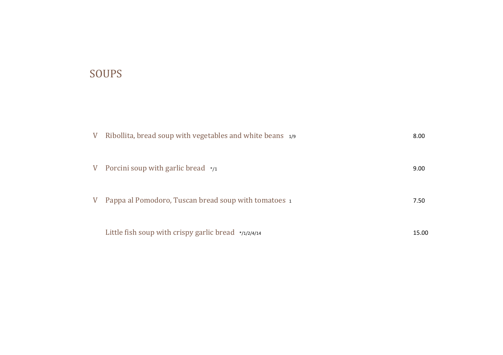# SOUPS

| V | Ribollita, bread soup with vegetables and white beans 1/9 | 8.00  |
|---|-----------------------------------------------------------|-------|
| V | Porcini soup with garlic bread $\frac{*}{1}$              | 9.00  |
| V | Pappa al Pomodoro, Tuscan bread soup with tomatoes 1      | 7.50  |
|   | Little fish soup with crispy garlic bread */1/2/4/14      | 15.00 |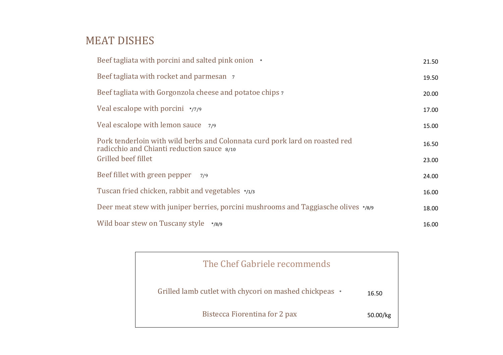#### MEAT DISHES

| Beef tagliata with porcini and salted pink onion *                                                                        | 21.50 |
|---------------------------------------------------------------------------------------------------------------------------|-------|
| Beef tagliata with rocket and parmesan 7                                                                                  | 19.50 |
| Beef tagliata with Gorgonzola cheese and potatoe chips 7                                                                  | 20.00 |
| Veal escalope with porcini $*_{77/9}$                                                                                     | 17.00 |
| Veal escalope with lemon sauce 7/9                                                                                        | 15.00 |
| Pork tenderloin with wild berbs and Colonnata curd pork lard on roasted red<br>radicchio and Chianti reduction sauce 8/10 | 16.50 |
| Grilled beef fillet                                                                                                       | 23.00 |
| Beef fillet with green pepper<br>7/9                                                                                      | 24.00 |
| Tuscan fried chicken, rabbit and vegetables */1/3                                                                         | 16.00 |
| Deer meat stew with juniper berries, porcini mushrooms and Taggiasche olives */8/9                                        | 18.00 |
| Wild boar stew on Tuscany style */8/9                                                                                     | 16.00 |

| The Chef Gabriele recommends                           |          |
|--------------------------------------------------------|----------|
| Grilled lamb cutlet with chycori on mashed chickpeas * | 16.50    |
| Bistecca Fiorentina for 2 pax                          | 50.00/kg |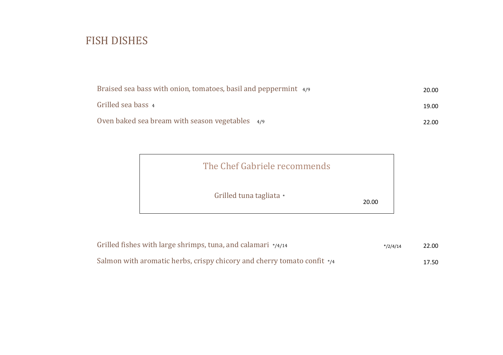## FISH DISHES

| Braised sea bass with onion, tomatoes, basil and peppermint 4/9 | 20.00 |
|-----------------------------------------------------------------|-------|
| Grilled sea bass 4                                              | 19.00 |
| Oven baked sea bream with season vegetables 4/9                 | 22.00 |

| The Chef Gabriele recommends |       |
|------------------------------|-------|
| Grilled tuna tagliata *      | 20.00 |

| Grilled fishes with large shrimps, tuna, and calamari $*_{/4/14}$       | $*$ /2/4/14 | 22.00 |
|-------------------------------------------------------------------------|-------------|-------|
| Salmon with aromatic herbs, crispy chicory and cherry tomato confit */4 |             | 17.50 |